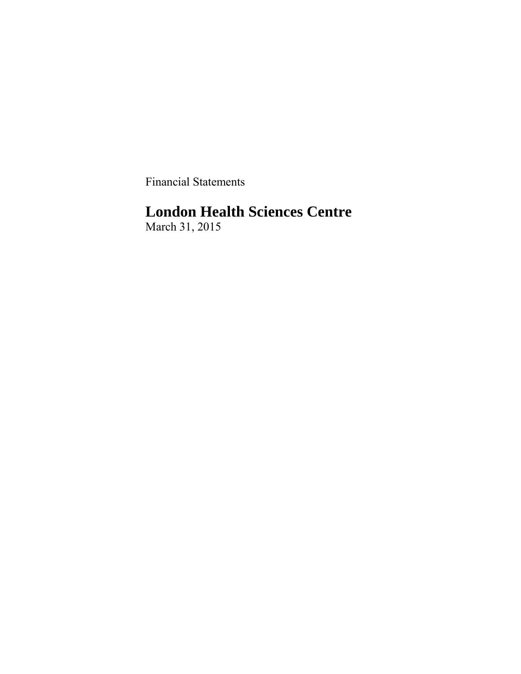Financial Statements

# **London Health Sciences Centre**

March 31, 2015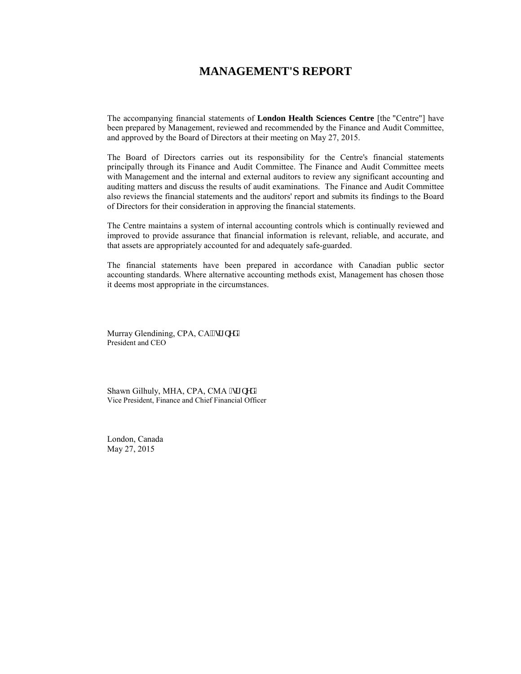### **MANAGEMENT'S REPORT**

The accompanying financial statements of **London Health Sciences Centre** [the "Centre"] have been prepared by Management, reviewed and recommended by the Finance and Audit Committee, and approved by the Board of Directors at their meeting on May 27, 2015.

The Board of Directors carries out its responsibility for the Centre's financial statements principally through its Finance and Audit Committee. The Finance and Audit Committee meets with Management and the internal and external auditors to review any significant accounting and auditing matters and discuss the results of audit examinations. The Finance and Audit Committee also reviews the financial statements and the auditors' report and submits its findings to the Board of Directors for their consideration in approving the financial statements.

The Centre maintains a system of internal accounting controls which is continually reviewed and improved to provide assurance that financial information is relevant, reliable, and accurate, and that assets are appropriately accounted for and adequately safe-guarded.

The financial statements have been prepared in accordance with Canadian public sector accounting standards. Where alternative accounting methods exist, Management has chosen those it deems most appropriate in the circumstances.

Murray Glendining, CPA, CA<sup>'\*\*</sup>uki pgf + President and CEO

Shawn Gilhuly, MHA, CPA, CMA \*uki pgf + Vice President, Finance and Chief Financial Officer

London, Canada May 27, 2015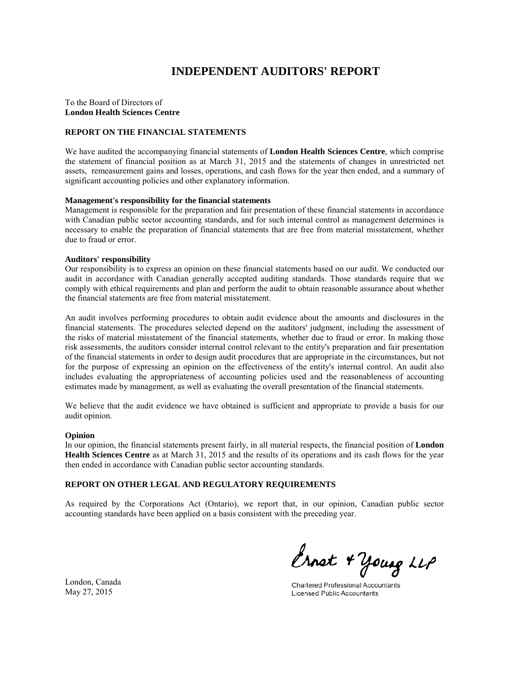# **INDEPENDENT AUDITORS' REPORT**

#### To the Board of Directors of **London Health Sciences Centre**

#### **REPORT ON THE FINANCIAL STATEMENTS**

We have audited the accompanying financial statements of **London Health Sciences Centre**, which comprise the statement of financial position as at March 31, 2015 and the statements of changes in unrestricted net assets, remeasurement gains and losses, operations, and cash flows for the year then ended, and a summary of significant accounting policies and other explanatory information.

#### **Management's responsibility for the financial statements**

Management is responsible for the preparation and fair presentation of these financial statements in accordance with Canadian public sector accounting standards, and for such internal control as management determines is necessary to enable the preparation of financial statements that are free from material misstatement, whether due to fraud or error.

#### **Auditors' responsibility**

Our responsibility is to express an opinion on these financial statements based on our audit. We conducted our audit in accordance with Canadian generally accepted auditing standards. Those standards require that we comply with ethical requirements and plan and perform the audit to obtain reasonable assurance about whether the financial statements are free from material misstatement.

An audit involves performing procedures to obtain audit evidence about the amounts and disclosures in the financial statements. The procedures selected depend on the auditors' judgment, including the assessment of the risks of material misstatement of the financial statements, whether due to fraud or error. In making those risk assessments, the auditors consider internal control relevant to the entity's preparation and fair presentation of the financial statements in order to design audit procedures that are appropriate in the circumstances, but not for the purpose of expressing an opinion on the effectiveness of the entity's internal control. An audit also includes evaluating the appropriateness of accounting policies used and the reasonableness of accounting estimates made by management, as well as evaluating the overall presentation of the financial statements.

We believe that the audit evidence we have obtained is sufficient and appropriate to provide a basis for our audit opinion.

#### **Opinion**

In our opinion, the financial statements present fairly, in all material respects, the financial position of **London Health Sciences Centre** as at March 31, 2015 and the results of its operations and its cash flows for the year then ended in accordance with Canadian public sector accounting standards.

#### **REPORT ON OTHER LEGAL AND REGULATORY REQUIREMENTS**

As required by the Corporations Act (Ontario), we report that, in our opinion, Canadian public sector accounting standards have been applied on a basis consistent with the preceding year.

Ernet + Young LLP

**Chartered Professional Accountants Licensed Public Accountants** 

London, Canada May 27, 2015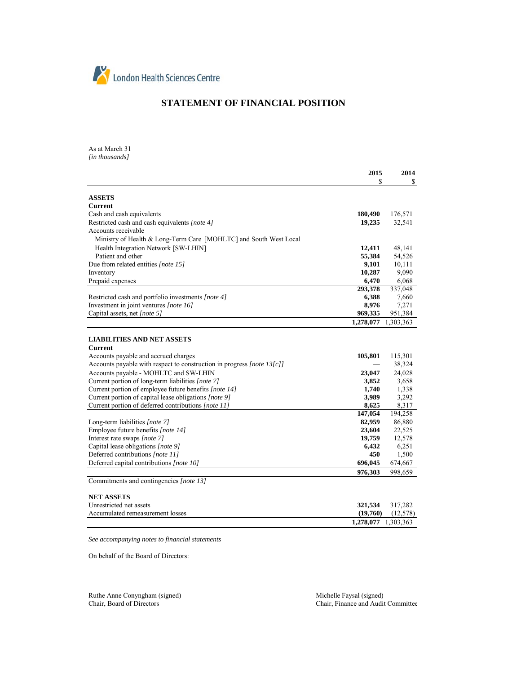

### **STATEMENT OF FINANCIAL POSITION**

As at March 31 *[in thousands]*

| 2015                                                                                           | 2014             |
|------------------------------------------------------------------------------------------------|------------------|
| \$                                                                                             | S                |
|                                                                                                |                  |
| <b>ASSETS</b>                                                                                  |                  |
| <b>Current</b>                                                                                 |                  |
| 180,490<br>Cash and cash equivalents                                                           | 176,571          |
| Restricted cash and cash equivalents [note 4]<br>19,235                                        | 32,541           |
| Accounts receivable                                                                            |                  |
| Ministry of Health & Long-Term Care [MOHLTC] and South West Local                              |                  |
| Health Integration Network [SW-LHIN]<br>12,411                                                 | 48,141           |
| Patient and other<br>55,384                                                                    | 54,526           |
| 9,101<br>Due from related entities [note 15]                                                   | 10,111           |
| 10,287<br>Inventory                                                                            | 9,090            |
| Prepaid expenses<br>6,470                                                                      | 6,068            |
| 293,378                                                                                        | 337,048          |
| 6,388<br>Restricted cash and portfolio investments [note 4]                                    | 7,660            |
| Investment in joint ventures [note 16]<br>8,976                                                | 7,271            |
| Capital assets, net [note 5]<br>969,335                                                        | 951,384          |
| 1,278,077                                                                                      | 1,303,363        |
|                                                                                                |                  |
| <b>LIABILITIES AND NET ASSETS</b>                                                              |                  |
| Current                                                                                        |                  |
| 105,801<br>Accounts payable and accrued charges                                                | 115,301          |
| Accounts payable with respect to construction in progress [note 13[c]]                         | 38,324           |
| Accounts payable - MOHLTC and SW-LHIN<br>23,047                                                | 24,028           |
| Current portion of long-term liabilities [note 7]<br>3,852                                     | 3,658            |
| Current portion of employee future benefits [note 14]<br>1,740                                 | 1,338            |
| Current portion of capital lease obligations [note 9]<br>3,989                                 | 3,292            |
| Current portion of deferred contributions [note 11]<br>8,625                                   | 8,317            |
| 147,054                                                                                        | 194,258          |
| Long-term liabilities [note 7]<br>82,959                                                       | 86,880           |
| Employee future benefits [note 14]<br>23,604                                                   |                  |
|                                                                                                |                  |
|                                                                                                | 22,525           |
| Interest rate swaps [note 7]<br>19,759                                                         | 12,578           |
| Capital lease obligations [note 9]<br>6,432                                                    | 6,251            |
| Deferred contributions [note 11]<br>450<br>Deferred capital contributions [note 10]<br>696,045 | 1,500<br>674,667 |

Commitments and contingencies *[note 13]*

#### **NET ASSETS**

| Unrestricted net assets          |                     | 321.534 317.282       |
|----------------------------------|---------------------|-----------------------|
| Accumulated remeasurement losses |                     | $(19,760)$ $(12,578)$ |
|                                  | 1.278.077 1.303.363 |                       |

*See accompanying notes to financial statements*

On behalf of the Board of Directors:

Ruthe Anne Conyngham (signed)<br>
Chair, Board of Directors<br>
Chair, Finance and Audit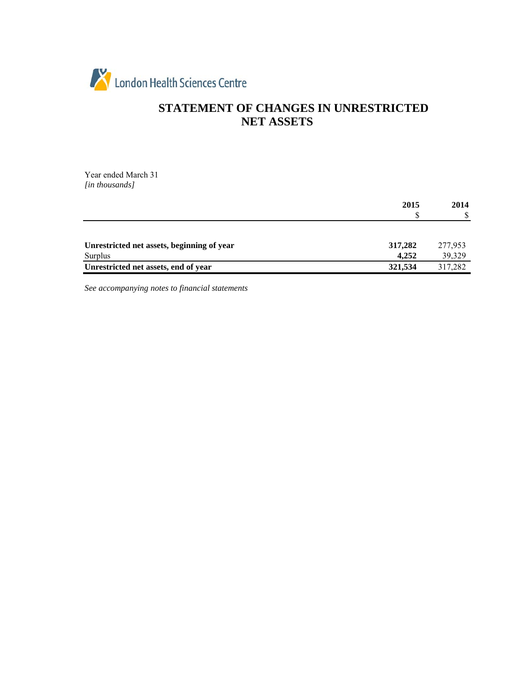

# **STATEMENT OF CHANGES IN UNRESTRICTED NET ASSETS**

Year ended March 31 *[in thousands]*

|                                                 | 2015<br>D        | 2014<br>\$        |
|-------------------------------------------------|------------------|-------------------|
| Unrestricted net assets, beginning of year      | 317,282          | 277,953           |
| Surplus<br>Unrestricted net assets, end of year | 4.252<br>321,534 | 39,329<br>317,282 |
|                                                 |                  |                   |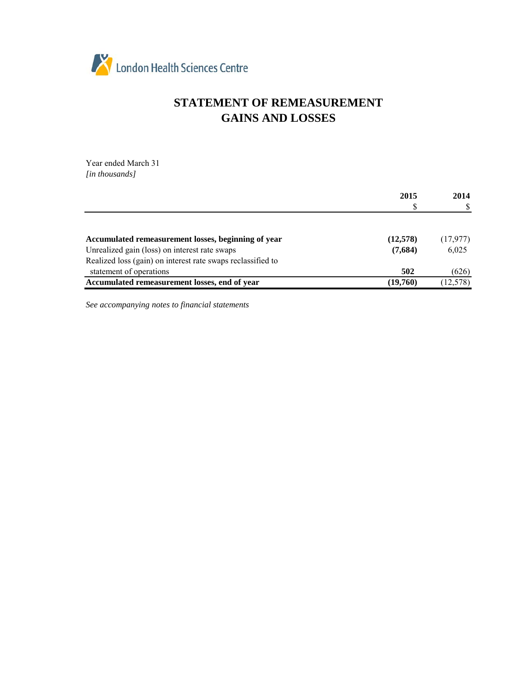

# **STATEMENT OF REMEASUREMENT GAINS AND LOSSES**

Year ended March 31 *[in thousands]*

|                                                             | 2015     | 2014      |
|-------------------------------------------------------------|----------|-----------|
|                                                             |          |           |
|                                                             |          |           |
| Accumulated remeasurement losses, beginning of year         | (12,578) | (17,977)  |
| Unrealized gain (loss) on interest rate swaps               | (7,684)  | 6,025     |
| Realized loss (gain) on interest rate swaps reclassified to |          |           |
| statement of operations                                     | 502      | (626)     |
| Accumulated remeasurement losses, end of year               | (19,760) | (12, 578) |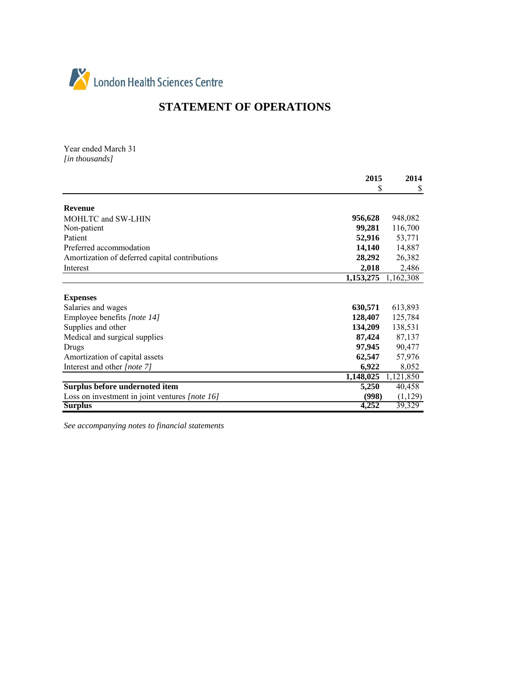

# **STATEMENT OF OPERATIONS**

Year ended March 31 *[in thousands]*

|                                                | 2015                | 2014      |
|------------------------------------------------|---------------------|-----------|
|                                                | \$                  | \$        |
| <b>Revenue</b>                                 |                     |           |
| MOHLTC and SW-LHIN                             | 956,628             | 948,082   |
| Non-patient                                    | 99,281              | 116,700   |
| Patient                                        | 52,916              | 53,771    |
| Preferred accommodation                        | 14,140              | 14,887    |
| Amortization of deferred capital contributions | 28,292              | 26,382    |
| Interest                                       | 2,018               | 2,486     |
|                                                | 1,153,275 1,162,308 |           |
| <b>Expenses</b>                                |                     |           |
| Salaries and wages                             | 630,571             | 613,893   |
| Employee benefits [note 14]                    | 128,407             | 125,784   |
| Supplies and other                             | 134,209             | 138,531   |
| Medical and surgical supplies                  | 87,424              | 87,137    |
| Drugs                                          | 97,945              | 90,477    |
| Amortization of capital assets                 | 62,547              | 57,976    |
| Interest and other [note 7]                    | 6,922               | 8,052     |
|                                                | 1,148,025           | 1,121,850 |
| Surplus before undernoted item                 | 5,250               | 40,458    |
| Loss on investment in joint ventures [note 16] | (998)               | (1, 129)  |
| <b>Surplus</b>                                 | 4,252               | 39,329    |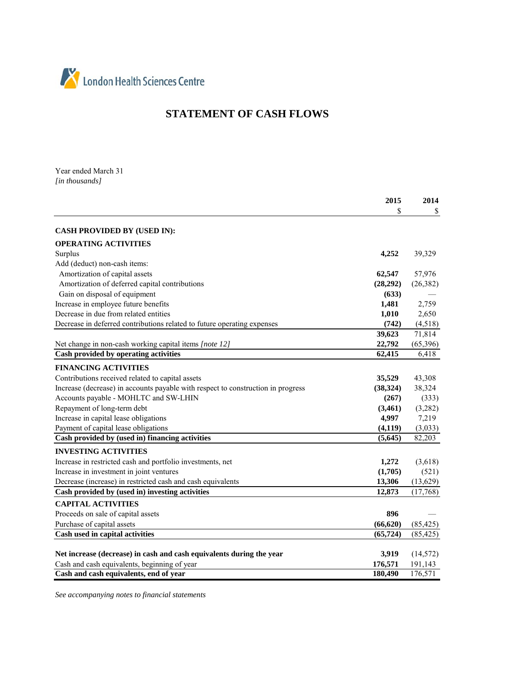

# **STATEMENT OF CASH FLOWS**

Year ended March 31 *[in thousands]*

|                                                                                  | 2015      | 2014      |
|----------------------------------------------------------------------------------|-----------|-----------|
|                                                                                  | S         | \$        |
| <b>CASH PROVIDED BY (USED IN):</b>                                               |           |           |
| <b>OPERATING ACTIVITIES</b>                                                      |           |           |
| Surplus                                                                          | 4,252     | 39,329    |
| Add (deduct) non-cash items:                                                     |           |           |
| Amortization of capital assets                                                   | 62,547    | 57,976    |
| Amortization of deferred capital contributions                                   | (28, 292) | (26, 382) |
| Gain on disposal of equipment                                                    | (633)     |           |
| Increase in employee future benefits                                             | 1,481     | 2,759     |
| Decrease in due from related entities                                            | 1,010     | 2,650     |
| Decrease in deferred contributions related to future operating expenses          | (742)     | (4,518)   |
|                                                                                  | 39,623    | 71,814    |
| Net change in non-cash working capital items [note 12]                           | 22,792    | (65, 396) |
| Cash provided by operating activities                                            | 62,415    | 6,418     |
| <b>FINANCING ACTIVITIES</b>                                                      |           |           |
| Contributions received related to capital assets                                 | 35,529    | 43,308    |
| Increase (decrease) in accounts payable with respect to construction in progress | (38, 324) | 38,324    |
| Accounts payable - MOHLTC and SW-LHIN                                            | (267)     | (333)     |
| Repayment of long-term debt                                                      | (3,461)   | (3,282)   |
| Increase in capital lease obligations                                            | 4,997     | 7,219     |
| Payment of capital lease obligations                                             | (4, 119)  | (3,033)   |
| Cash provided by (used in) financing activities                                  | (5,645)   | 82,203    |
| <b>INVESTING ACTIVITIES</b>                                                      |           |           |
| Increase in restricted cash and portfolio investments, net                       | 1,272     | (3,618)   |
| Increase in investment in joint ventures                                         | (1,705)   | (521)     |
| Decrease (increase) in restricted cash and cash equivalents                      | 13,306    | (13, 629) |
| Cash provided by (used in) investing activities                                  | 12,873    | (17,768)  |
| <b>CAPITAL ACTIVITIES</b>                                                        |           |           |
| Proceeds on sale of capital assets                                               | 896       |           |
| Purchase of capital assets                                                       | (66, 620) | (85, 425) |
| Cash used in capital activities                                                  | (65, 724) | (85, 425) |
| Net increase (decrease) in cash and cash equivalents during the year             | 3,919     | (14, 572) |
| Cash and cash equivalents, beginning of year                                     | 176,571   | 191,143   |
| Cash and cash equivalents, end of year                                           | 180,490   | 176,571   |
|                                                                                  |           |           |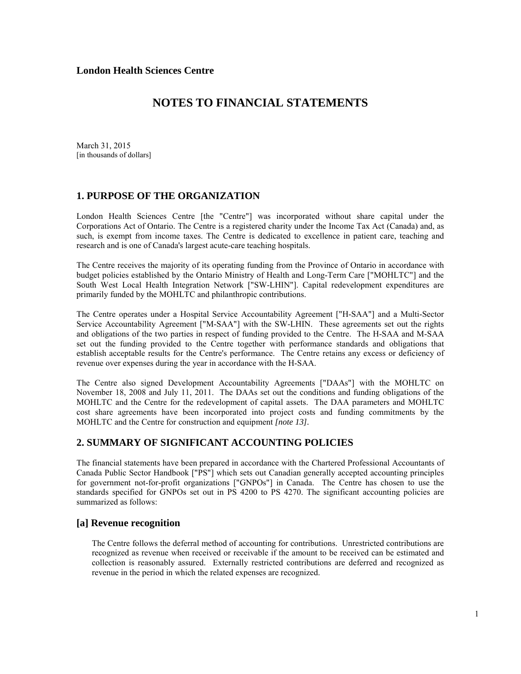March 31, 2015 [in thousands of dollars]

### **1. PURPOSE OF THE ORGANIZATION**

London Health Sciences Centre [the "Centre"] was incorporated without share capital under the Corporations Act of Ontario. The Centre is a registered charity under the Income Tax Act (Canada) and, as such, is exempt from income taxes. The Centre is dedicated to excellence in patient care, teaching and research and is one of Canada's largest acute-care teaching hospitals.

The Centre receives the majority of its operating funding from the Province of Ontario in accordance with budget policies established by the Ontario Ministry of Health and Long-Term Care ["MOHLTC"] and the South West Local Health Integration Network ["SW-LHIN"]. Capital redevelopment expenditures are primarily funded by the MOHLTC and philanthropic contributions.

The Centre operates under a Hospital Service Accountability Agreement ["H-SAA"] and a Multi-Sector Service Accountability Agreement ["M-SAA"] with the SW-LHIN. These agreements set out the rights and obligations of the two parties in respect of funding provided to the Centre. The H-SAA and M-SAA set out the funding provided to the Centre together with performance standards and obligations that establish acceptable results for the Centre's performance. The Centre retains any excess or deficiency of revenue over expenses during the year in accordance with the H-SAA.

The Centre also signed Development Accountability Agreements ["DAAs"] with the MOHLTC on November 18, 2008 and July 11, 2011. The DAAs set out the conditions and funding obligations of the MOHLTC and the Centre for the redevelopment of capital assets. The DAA parameters and MOHLTC cost share agreements have been incorporated into project costs and funding commitments by the MOHLTC and the Centre for construction and equipment *[note 13].* 

### **2. SUMMARY OF SIGNIFICANT ACCOUNTING POLICIES**

The financial statements have been prepared in accordance with the Chartered Professional Accountants of Canada Public Sector Handbook ["PS"] which sets out Canadian generally accepted accounting principles for government not-for-profit organizations ["GNPOs"] in Canada. The Centre has chosen to use the standards specified for GNPOs set out in PS 4200 to PS 4270. The significant accounting policies are summarized as follows:

### **[a] Revenue recognition**

The Centre follows the deferral method of accounting for contributions. Unrestricted contributions are recognized as revenue when received or receivable if the amount to be received can be estimated and collection is reasonably assured. Externally restricted contributions are deferred and recognized as revenue in the period in which the related expenses are recognized.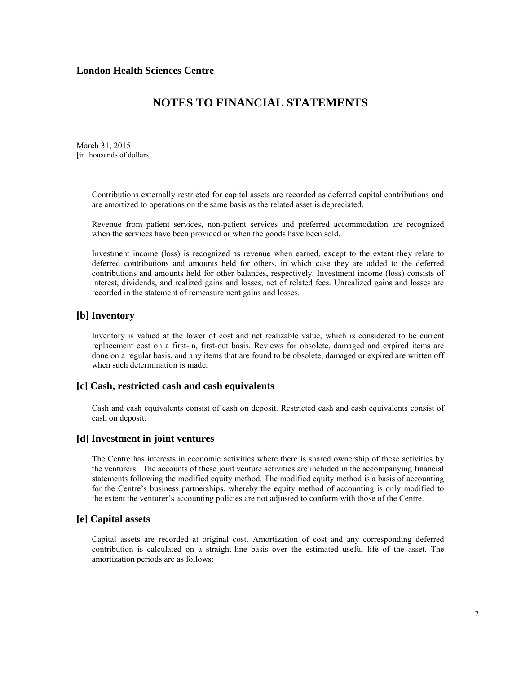### **NOTES TO FINANCIAL STATEMENTS**

March 31, 2015 [in thousands of dollars]

> Contributions externally restricted for capital assets are recorded as deferred capital contributions and are amortized to operations on the same basis as the related asset is depreciated.

> Revenue from patient services, non-patient services and preferred accommodation are recognized when the services have been provided or when the goods have been sold.

> Investment income (loss) is recognized as revenue when earned, except to the extent they relate to deferred contributions and amounts held for others, in which case they are added to the deferred contributions and amounts held for other balances, respectively. Investment income (loss) consists of interest, dividends, and realized gains and losses, net of related fees. Unrealized gains and losses are recorded in the statement of remeasurement gains and losses.

#### **[b] Inventory**

Inventory is valued at the lower of cost and net realizable value, which is considered to be current replacement cost on a first-in, first-out basis. Reviews for obsolete, damaged and expired items are done on a regular basis, and any items that are found to be obsolete, damaged or expired are written off when such determination is made.

#### **[c] Cash, restricted cash and cash equivalents**

Cash and cash equivalents consist of cash on deposit. Restricted cash and cash equivalents consist of cash on deposit.

#### **[d] Investment in joint ventures**

The Centre has interests in economic activities where there is shared ownership of these activities by the venturers. The accounts of these joint venture activities are included in the accompanying financial statements following the modified equity method. The modified equity method is a basis of accounting for the Centre's business partnerships, whereby the equity method of accounting is only modified to the extent the venturer's accounting policies are not adjusted to conform with those of the Centre.

#### **[e] Capital assets**

Capital assets are recorded at original cost. Amortization of cost and any corresponding deferred contribution is calculated on a straight-line basis over the estimated useful life of the asset. The amortization periods are as follows: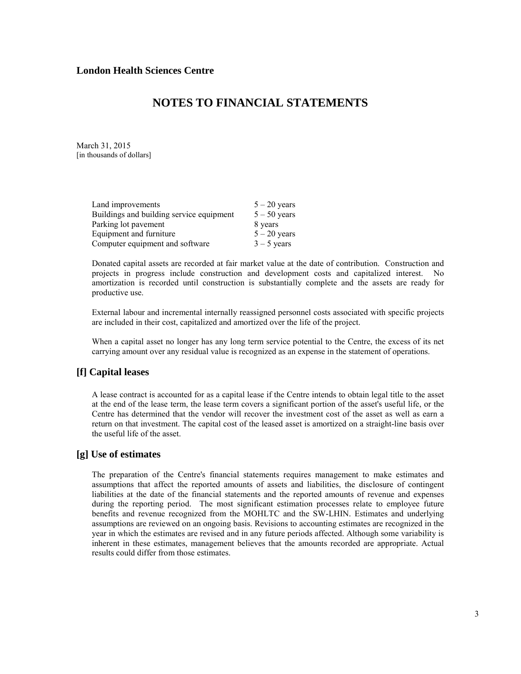### **NOTES TO FINANCIAL STATEMENTS**

March 31, 2015 [in thousands of dollars]

| $5 - 20$ years |
|----------------|
| $5 - 50$ years |
| 8 years        |
| $5 - 20$ years |
| $3 - 5$ years  |
|                |

Donated capital assets are recorded at fair market value at the date of contribution. Construction and projects in progress include construction and development costs and capitalized interest. No amortization is recorded until construction is substantially complete and the assets are ready for productive use.

External labour and incremental internally reassigned personnel costs associated with specific projects are included in their cost, capitalized and amortized over the life of the project.

When a capital asset no longer has any long term service potential to the Centre, the excess of its net carrying amount over any residual value is recognized as an expense in the statement of operations.

#### **[f] Capital leases**

A lease contract is accounted for as a capital lease if the Centre intends to obtain legal title to the asset at the end of the lease term, the lease term covers a significant portion of the asset's useful life, or the Centre has determined that the vendor will recover the investment cost of the asset as well as earn a return on that investment. The capital cost of the leased asset is amortized on a straight-line basis over the useful life of the asset.

#### **[g] Use of estimates**

The preparation of the Centre's financial statements requires management to make estimates and assumptions that affect the reported amounts of assets and liabilities, the disclosure of contingent liabilities at the date of the financial statements and the reported amounts of revenue and expenses during the reporting period. The most significant estimation processes relate to employee future benefits and revenue recognized from the MOHLTC and the SW-LHIN. Estimates and underlying assumptions are reviewed on an ongoing basis. Revisions to accounting estimates are recognized in the year in which the estimates are revised and in any future periods affected. Although some variability is inherent in these estimates, management believes that the amounts recorded are appropriate. Actual results could differ from those estimates.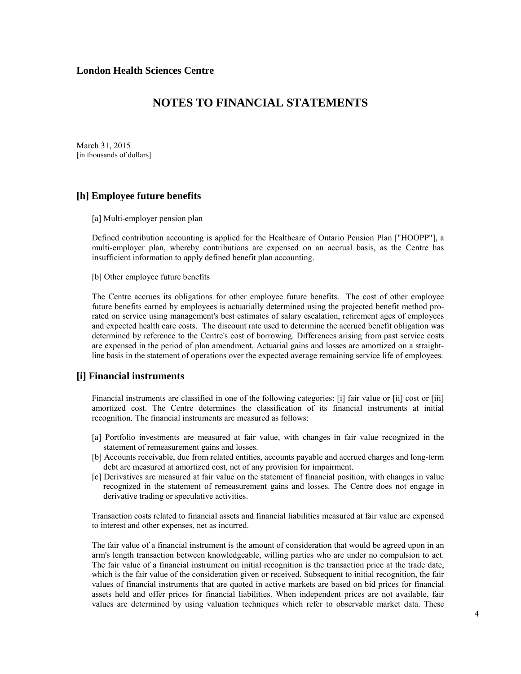### **NOTES TO FINANCIAL STATEMENTS**

March 31, 2015 [in thousands of dollars]

#### **[h] Employee future benefits**

[a] Multi-employer pension plan

Defined contribution accounting is applied for the Healthcare of Ontario Pension Plan ["HOOPP"], a multi-employer plan, whereby contributions are expensed on an accrual basis, as the Centre has insufficient information to apply defined benefit plan accounting.

[b] Other employee future benefits

The Centre accrues its obligations for other employee future benefits. The cost of other employee future benefits earned by employees is actuarially determined using the projected benefit method prorated on service using management's best estimates of salary escalation, retirement ages of employees and expected health care costs. The discount rate used to determine the accrued benefit obligation was determined by reference to the Centre's cost of borrowing. Differences arising from past service costs are expensed in the period of plan amendment. Actuarial gains and losses are amortized on a straightline basis in the statement of operations over the expected average remaining service life of employees.

#### **[i] Financial instruments**

Financial instruments are classified in one of the following categories: [i] fair value or [ii] cost or [iii] amortized cost. The Centre determines the classification of its financial instruments at initial recognition. The financial instruments are measured as follows:

- [a] Portfolio investments are measured at fair value, with changes in fair value recognized in the statement of remeasurement gains and losses.
- [b] Accounts receivable, due from related entities, accounts payable and accrued charges and long-term debt are measured at amortized cost, net of any provision for impairment.
- [c] Derivatives are measured at fair value on the statement of financial position, with changes in value recognized in the statement of remeasurement gains and losses. The Centre does not engage in derivative trading or speculative activities.

Transaction costs related to financial assets and financial liabilities measured at fair value are expensed to interest and other expenses, net as incurred.

The fair value of a financial instrument is the amount of consideration that would be agreed upon in an arm's length transaction between knowledgeable, willing parties who are under no compulsion to act. The fair value of a financial instrument on initial recognition is the transaction price at the trade date, which is the fair value of the consideration given or received. Subsequent to initial recognition, the fair values of financial instruments that are quoted in active markets are based on bid prices for financial assets held and offer prices for financial liabilities. When independent prices are not available, fair values are determined by using valuation techniques which refer to observable market data. These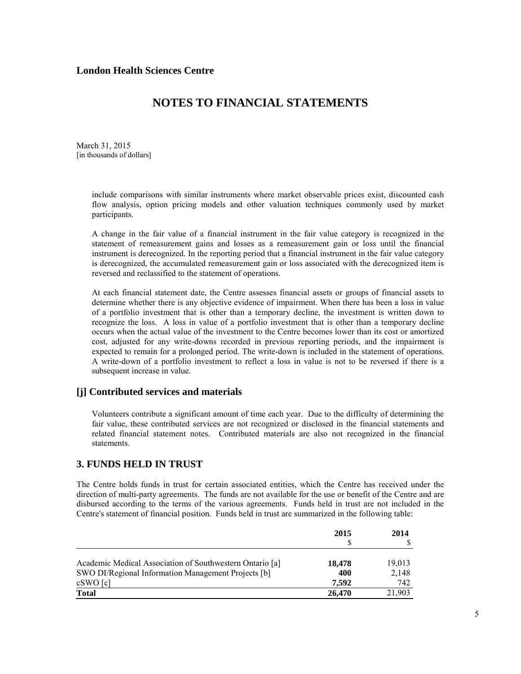# **NOTES TO FINANCIAL STATEMENTS**

March 31, 2015 [in thousands of dollars]

> include comparisons with similar instruments where market observable prices exist, discounted cash flow analysis, option pricing models and other valuation techniques commonly used by market participants.

> A change in the fair value of a financial instrument in the fair value category is recognized in the statement of remeasurement gains and losses as a remeasurement gain or loss until the financial instrument is derecognized. In the reporting period that a financial instrument in the fair value category is derecognized, the accumulated remeasurement gain or loss associated with the derecognized item is reversed and reclassified to the statement of operations.

> At each financial statement date, the Centre assesses financial assets or groups of financial assets to determine whether there is any objective evidence of impairment. When there has been a loss in value of a portfolio investment that is other than a temporary decline, the investment is written down to recognize the loss. A loss in value of a portfolio investment that is other than a temporary decline occurs when the actual value of the investment to the Centre becomes lower than its cost or amortized cost, adjusted for any write-downs recorded in previous reporting periods, and the impairment is expected to remain for a prolonged period. The write-down is included in the statement of operations. A write-down of a portfolio investment to reflect a loss in value is not to be reversed if there is a subsequent increase in value.

### **[j] Contributed services and materials**

Volunteers contribute a significant amount of time each year. Due to the difficulty of determining the fair value, these contributed services are not recognized or disclosed in the financial statements and related financial statement notes. Contributed materials are also not recognized in the financial statements.

### **3. FUNDS HELD IN TRUST**

The Centre holds funds in trust for certain associated entities, which the Centre has received under the direction of multi-party agreements. The funds are not available for the use or benefit of the Centre and are disbursed according to the terms of the various agreements. Funds held in trust are not included in the Centre's statement of financial position. Funds held in trust are summarized in the following table:

|                                                          | 2015   | 2014   |  |
|----------------------------------------------------------|--------|--------|--|
|                                                          |        |        |  |
| Academic Medical Association of Southwestern Ontario [a] | 18,478 | 19,013 |  |
| SWO DI/Regional Information Management Projects [b]      | 400    | 2,148  |  |
| cSWO[c]                                                  | 7.592  | 742    |  |
| <b>Total</b>                                             | 26,470 | 21.903 |  |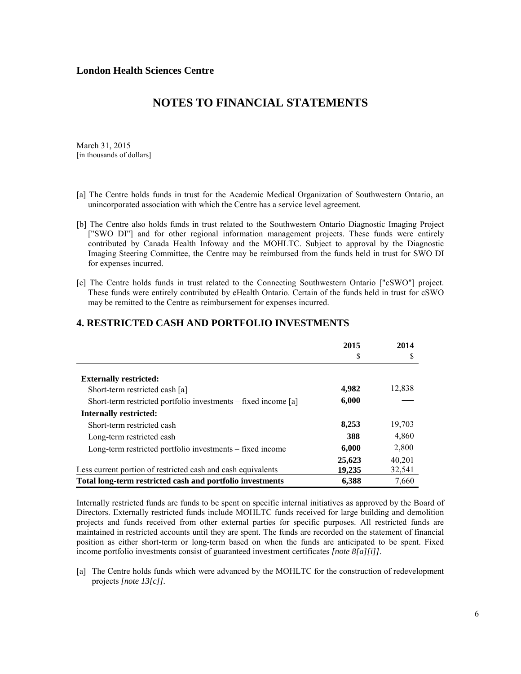### **NOTES TO FINANCIAL STATEMENTS**

March 31, 2015 [in thousands of dollars]

- [a] The Centre holds funds in trust for the Academic Medical Organization of Southwestern Ontario, an unincorporated association with which the Centre has a service level agreement.
- [b] The Centre also holds funds in trust related to the Southwestern Ontario Diagnostic Imaging Project ["SWO DI"] and for other regional information management projects. These funds were entirely contributed by Canada Health Infoway and the MOHLTC. Subject to approval by the Diagnostic Imaging Steering Committee, the Centre may be reimbursed from the funds held in trust for SWO DI for expenses incurred.
- [c] The Centre holds funds in trust related to the Connecting Southwestern Ontario ["cSWO"] project. These funds were entirely contributed by eHealth Ontario. Certain of the funds held in trust for cSWO may be remitted to the Centre as reimbursement for expenses incurred.

|                                                                | 2015   | 2014   |
|----------------------------------------------------------------|--------|--------|
|                                                                | S      | S      |
| <b>Externally restricted:</b>                                  |        |        |
| Short-term restricted cash [a]                                 | 4,982  | 12,838 |
| Short-term restricted portfolio investments – fixed income [a] | 6,000  |        |
| Internally restricted:                                         |        |        |
| Short-term restricted cash                                     | 8,253  | 19,703 |
| Long-term restricted cash                                      | 388    | 4,860  |
| Long-term restricted portfolio investments – fixed income      | 6,000  | 2,800  |
|                                                                | 25,623 | 40,201 |
| Less current portion of restricted cash and cash equivalents   | 19,235 | 32,541 |
| Total long-term restricted cash and portfolio investments      | 6.388  | 7.660  |

#### **4. RESTRICTED CASH AND PORTFOLIO INVESTMENTS**

Internally restricted funds are funds to be spent on specific internal initiatives as approved by the Board of Directors. Externally restricted funds include MOHLTC funds received for large building and demolition projects and funds received from other external parties for specific purposes. All restricted funds are maintained in restricted accounts until they are spent. The funds are recorded on the statement of financial position as either short-term or long-term based on when the funds are anticipated to be spent. Fixed income portfolio investments consist of guaranteed investment certificates *[note 8[a][i]]*.

[a] The Centre holds funds which were advanced by the MOHLTC for the construction of redevelopment projects *[note 13[c]].*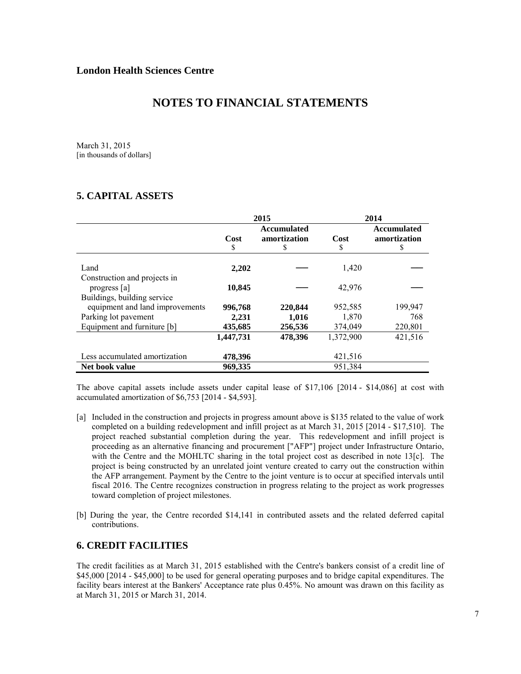March 31, 2015 [in thousands of dollars]

### **5. CAPITAL ASSETS**

|                                 | 2015               |              |           | 2014               |
|---------------------------------|--------------------|--------------|-----------|--------------------|
|                                 | <b>Accumulated</b> |              |           | <b>Accumulated</b> |
|                                 | Cost               | amortization | Cost      | amortization       |
|                                 | S                  | S            | \$        | \$                 |
| Land                            | 2,202              |              | 1,420     |                    |
| Construction and projects in    |                    |              |           |                    |
| progress [a]                    | 10,845             |              | 42,976    |                    |
| Buildings, building service     |                    |              |           |                    |
| equipment and land improvements | 996,768            | 220,844      | 952,585   | 199,947            |
| Parking lot pavement            | 2,231              | 1,016        | 1,870     | 768                |
| Equipment and furniture [b]     | 435,685            | 256,536      | 374,049   | 220,801            |
|                                 | 1,447,731          | 478.396      | 1,372,900 | 421,516            |
| Less accumulated amortization   | 478,396            |              | 421,516   |                    |
| Net book value                  | 969,335            |              | 951,384   |                    |

The above capital assets include assets under capital lease of \$17,106 [2014 - \$14,086] at cost with accumulated amortization of \$6,753 [2014 - \$4,593].

- [a] Included in the construction and projects in progress amount above is \$135 related to the value of work completed on a building redevelopment and infill project as at March 31, 2015 [2014 - \$17,510]. The project reached substantial completion during the year. This redevelopment and infill project is proceeding as an alternative financing and procurement ["AFP"] project under Infrastructure Ontario, with the Centre and the MOHLTC sharing in the total project cost as described in note 13[c]*.* The project is being constructed by an unrelated joint venture created to carry out the construction within the AFP arrangement. Payment by the Centre to the joint venture is to occur at specified intervals until fiscal 2016. The Centre recognizes construction in progress relating to the project as work progresses toward completion of project milestones.
- [b] During the year, the Centre recorded \$14,141 in contributed assets and the related deferred capital contributions.

### **6. CREDIT FACILITIES**

The credit facilities as at March 31, 2015 established with the Centre's bankers consist of a credit line of \$45,000 [2014 - \$45,000] to be used for general operating purposes and to bridge capital expenditures. The facility bears interest at the Bankers' Acceptance rate plus 0.45%. No amount was drawn on this facility as at March 31, 2015 or March 31, 2014.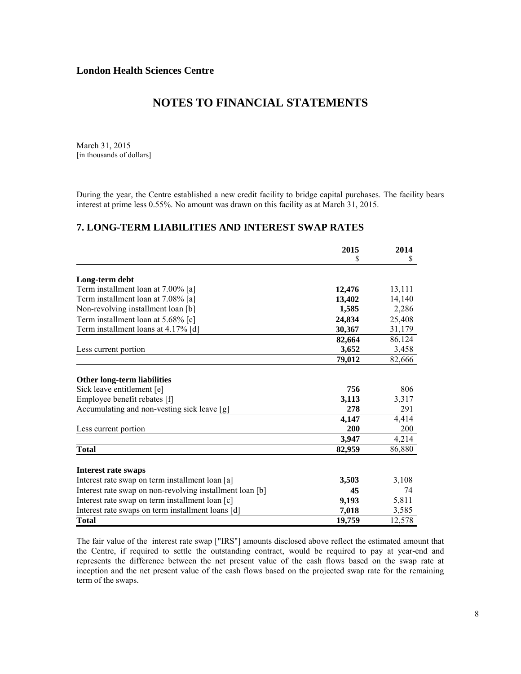March 31, 2015 [in thousands of dollars]

During the year, the Centre established a new credit facility to bridge capital purchases. The facility bears interest at prime less 0.55%. No amount was drawn on this facility as at March 31, 2015.

### **7. LONG-TERM LIABILITIES AND INTEREST SWAP RATES**

|                                                          | 2015<br>S | 2014<br>S |
|----------------------------------------------------------|-----------|-----------|
|                                                          |           |           |
| Long-term debt                                           |           |           |
| Term installment loan at 7.00% [a]                       | 12,476    | 13,111    |
| Term installment loan at 7.08% [a]                       | 13,402    | 14,140    |
| Non-revolving installment loan [b]                       | 1,585     | 2,286     |
| Term installment loan at 5.68% [c]                       | 24,834    | 25,408    |
| Term installment loans at 4.17% [d]                      | 30,367    | 31,179    |
|                                                          | 82,664    | 86,124    |
| Less current portion                                     | 3,652     | 3,458     |
|                                                          | 79,012    | 82,666    |
| <b>Other long-term liabilities</b>                       |           |           |
| Sick leave entitlement [e]                               | 756       | 806       |
| Employee benefit rebates [f]                             | 3,113     | 3,317     |
| Accumulating and non-vesting sick leave [g]              | 278       | 291       |
|                                                          | 4,147     | 4,414     |
| Less current portion                                     | 200       | 200       |
|                                                          | 3,947     | 4,214     |
| Total                                                    | 82,959    | 86,880    |
|                                                          |           |           |
| <b>Interest rate swaps</b>                               |           |           |
| Interest rate swap on term installment loan [a]          | 3,503     | 3,108     |
| Interest rate swap on non-revolving installment loan [b] | 45        | 74        |
| Interest rate swap on term installment loan [c]          | 9,193     | 5,811     |
| Interest rate swaps on term installment loans [d]        | 7,018     | 3,585     |
| Total                                                    | 19,759    | 12,578    |

The fair value of the interest rate swap ["IRS"] amounts disclosed above reflect the estimated amount that the Centre, if required to settle the outstanding contract, would be required to pay at year-end and represents the difference between the net present value of the cash flows based on the swap rate at inception and the net present value of the cash flows based on the projected swap rate for the remaining term of the swaps.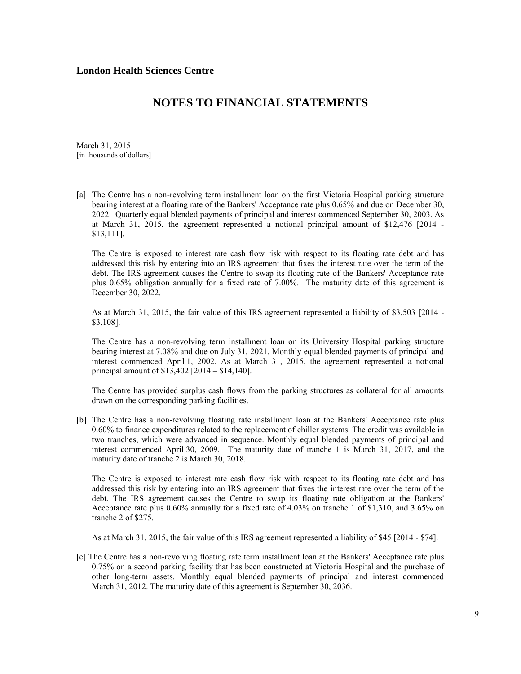March 31, 2015 [in thousands of dollars]

[a] The Centre has a non-revolving term installment loan on the first Victoria Hospital parking structure bearing interest at a floating rate of the Bankers' Acceptance rate plus 0.65% and due on December 30, 2022. Quarterly equal blended payments of principal and interest commenced September 30, 2003. As at March 31, 2015, the agreement represented a notional principal amount of \$12,476 [2014 - \$13,111].

The Centre is exposed to interest rate cash flow risk with respect to its floating rate debt and has addressed this risk by entering into an IRS agreement that fixes the interest rate over the term of the debt. The IRS agreement causes the Centre to swap its floating rate of the Bankers' Acceptance rate plus 0.65% obligation annually for a fixed rate of 7.00%. The maturity date of this agreement is December 30, 2022.

As at March 31, 2015, the fair value of this IRS agreement represented a liability of \$3,503 [2014 - \$3,108].

The Centre has a non-revolving term installment loan on its University Hospital parking structure bearing interest at 7.08% and due on July 31, 2021. Monthly equal blended payments of principal and interest commenced April 1, 2002. As at March 31, 2015, the agreement represented a notional principal amount of \$13,402 [2014 – \$14,140].

The Centre has provided surplus cash flows from the parking structures as collateral for all amounts drawn on the corresponding parking facilities.

[b] The Centre has a non-revolving floating rate installment loan at the Bankers' Acceptance rate plus 0.60% to finance expenditures related to the replacement of chiller systems. The credit was available in two tranches, which were advanced in sequence. Monthly equal blended payments of principal and interest commenced April 30, 2009. The maturity date of tranche 1 is March 31, 2017, and the maturity date of tranche 2 is March 30, 2018.

The Centre is exposed to interest rate cash flow risk with respect to its floating rate debt and has addressed this risk by entering into an IRS agreement that fixes the interest rate over the term of the debt. The IRS agreement causes the Centre to swap its floating rate obligation at the Bankers' Acceptance rate plus 0.60% annually for a fixed rate of 4.03% on tranche 1 of \$1,310, and 3.65% on tranche 2 of \$275.

As at March 31, 2015, the fair value of this IRS agreement represented a liability of \$45 [2014 - \$74].

[c] The Centre has a non-revolving floating rate term installment loan at the Bankers' Acceptance rate plus 0.75% on a second parking facility that has been constructed at Victoria Hospital and the purchase of other long-term assets. Monthly equal blended payments of principal and interest commenced March 31, 2012. The maturity date of this agreement is September 30, 2036.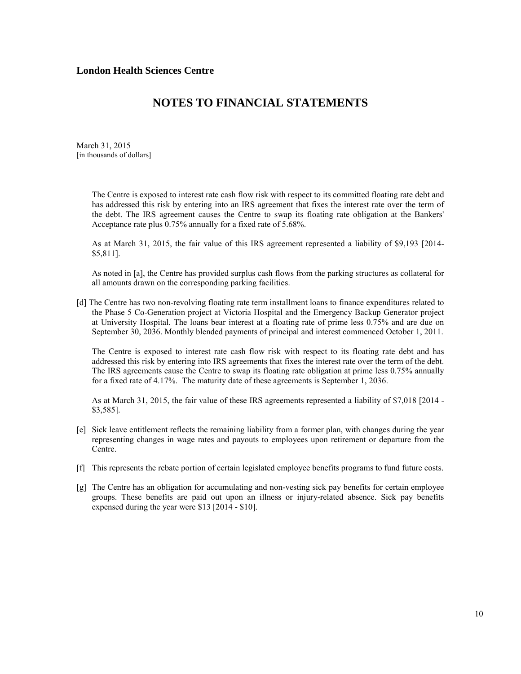### **NOTES TO FINANCIAL STATEMENTS**

March 31, 2015 [in thousands of dollars]

> The Centre is exposed to interest rate cash flow risk with respect to its committed floating rate debt and has addressed this risk by entering into an IRS agreement that fixes the interest rate over the term of the debt. The IRS agreement causes the Centre to swap its floating rate obligation at the Bankers' Acceptance rate plus 0.75% annually for a fixed rate of 5.68%.

> As at March 31, 2015, the fair value of this IRS agreement represented a liability of \$9,193 [2014- \$5,811].

> As noted in [a], the Centre has provided surplus cash flows from the parking structures as collateral for all amounts drawn on the corresponding parking facilities.

[d] The Centre has two non-revolving floating rate term installment loans to finance expenditures related to the Phase 5 Co-Generation project at Victoria Hospital and the Emergency Backup Generator project at University Hospital. The loans bear interest at a floating rate of prime less 0.75% and are due on September 30, 2036. Monthly blended payments of principal and interest commenced October 1, 2011.

The Centre is exposed to interest rate cash flow risk with respect to its floating rate debt and has addressed this risk by entering into IRS agreements that fixes the interest rate over the term of the debt. The IRS agreements cause the Centre to swap its floating rate obligation at prime less 0.75% annually for a fixed rate of 4.17%. The maturity date of these agreements is September 1, 2036.

As at March 31, 2015, the fair value of these IRS agreements represented a liability of \$7,018 [2014 - \$3,585].

- [e] Sick leave entitlement reflects the remaining liability from a former plan, with changes during the year representing changes in wage rates and payouts to employees upon retirement or departure from the Centre.
- [f] This represents the rebate portion of certain legislated employee benefits programs to fund future costs.
- [g] The Centre has an obligation for accumulating and non-vesting sick pay benefits for certain employee groups. These benefits are paid out upon an illness or injury-related absence. Sick pay benefits expensed during the year were \$13 [2014 - \$10].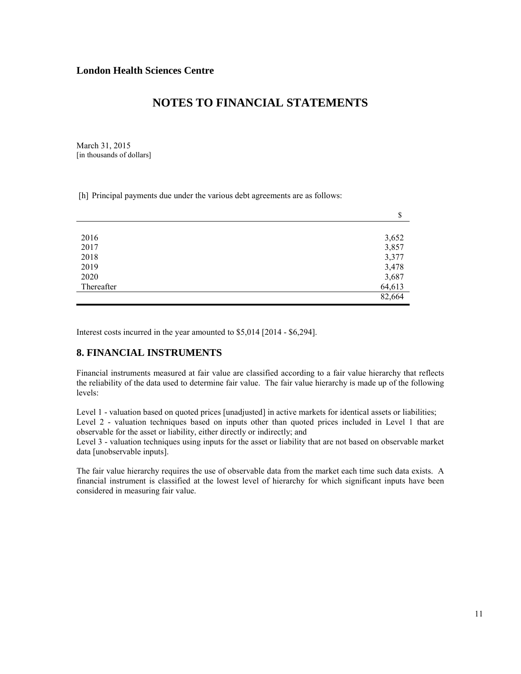March 31, 2015 [in thousands of dollars]

[h] Principal payments due under the various debt agreements are as follows:

|            | \$     |
|------------|--------|
|            |        |
| 2016       | 3,652  |
| 2017       | 3,857  |
| 2018       | 3,377  |
| 2019       | 3,478  |
| 2020       | 3,687  |
| Thereafter | 64,613 |
|            | 82,664 |
|            |        |

Interest costs incurred in the year amounted to \$5,014 [2014 - \$6,294].

### **8. FINANCIAL INSTRUMENTS**

Financial instruments measured at fair value are classified according to a fair value hierarchy that reflects the reliability of the data used to determine fair value. The fair value hierarchy is made up of the following levels:

Level 1 - valuation based on quoted prices [unadjusted] in active markets for identical assets or liabilities; Level 2 - valuation techniques based on inputs other than quoted prices included in Level 1 that are observable for the asset or liability, either directly or indirectly; and

Level 3 - valuation techniques using inputs for the asset or liability that are not based on observable market data [unobservable inputs].

The fair value hierarchy requires the use of observable data from the market each time such data exists. A financial instrument is classified at the lowest level of hierarchy for which significant inputs have been considered in measuring fair value.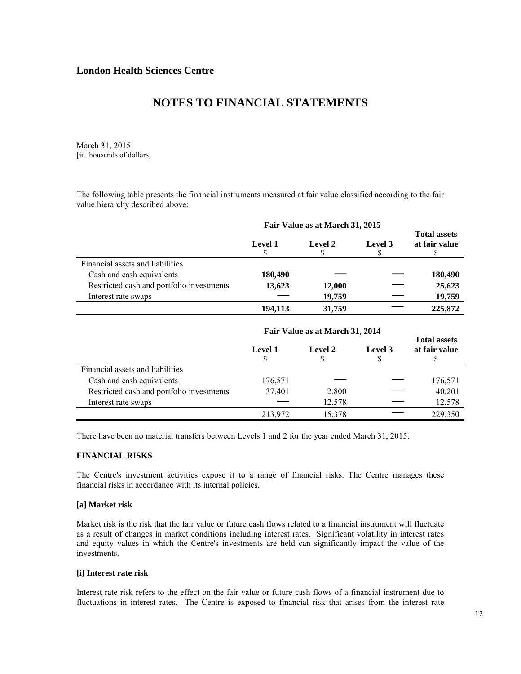March 31, 2015 [in thousands of dollars]

The following table presents the financial instruments measured at fair value classified according to the fair value hierarchy described above:

|                                           | Fair Value as at March 31, 2015 |         |         |                                      |
|-------------------------------------------|---------------------------------|---------|---------|--------------------------------------|
|                                           | <b>Level 1</b><br>S             | Level 2 | Level 3 | <b>Total assets</b><br>at fair value |
| Financial assets and liabilities          |                                 |         |         |                                      |
| Cash and cash equivalents                 | 180,490                         |         |         | 180,490                              |
| Restricted cash and portfolio investments | 13,623                          | 12,000  |         | 25,623                               |
| Interest rate swaps                       |                                 | 19,759  |         | 19,759                               |
|                                           | 194,113                         | 31,759  |         | 225,872                              |

|                                           | Fair Value as at March 31, 2014 |         |         |                                      |
|-------------------------------------------|---------------------------------|---------|---------|--------------------------------------|
|                                           | Level 1                         | Level 2 | Level 3 | <b>Total assets</b><br>at fair value |
| Financial assets and liabilities          |                                 |         |         |                                      |
| Cash and cash equivalents                 | 176,571                         |         |         | 176,571                              |
| Restricted cash and portfolio investments | 37,401                          | 2,800   |         | 40,201                               |
| Interest rate swaps                       |                                 | 12,578  |         | 12,578                               |
|                                           | 213,972                         | 15,378  |         | 229,350                              |

There have been no material transfers between Levels 1 and 2 for the year ended March 31, 2015.

#### **FINANCIAL RISKS**

The Centre's investment activities expose it to a range of financial risks. The Centre manages these financial risks in accordance with its internal policies.

#### **[a] Market risk**

Market risk is the risk that the fair value or future cash flows related to a financial instrument will fluctuate as a result of changes in market conditions including interest rates. Significant volatility in interest rates and equity values in which the Centre's investments are held can significantly impact the value of the investments.

#### **[i] Interest rate risk**

Interest rate risk refers to the effect on the fair value or future cash flows of a financial instrument due to fluctuations in interest rates. The Centre is exposed to financial risk that arises from the interest rate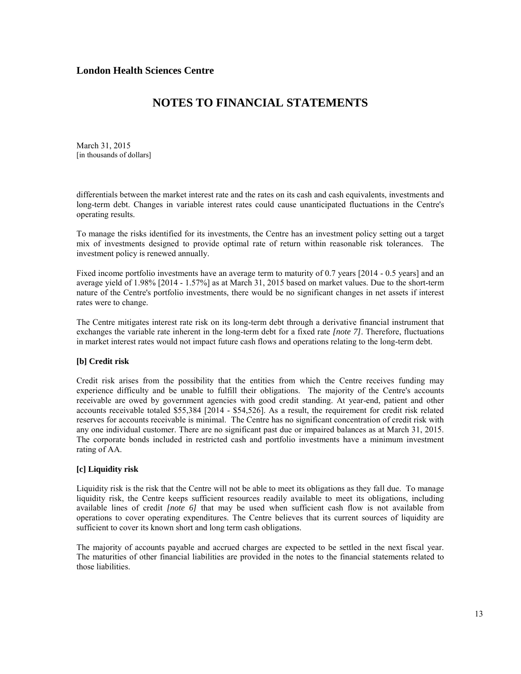# **NOTES TO FINANCIAL STATEMENTS**

March 31, 2015 [in thousands of dollars]

differentials between the market interest rate and the rates on its cash and cash equivalents, investments and long-term debt. Changes in variable interest rates could cause unanticipated fluctuations in the Centre's operating results.

To manage the risks identified for its investments, the Centre has an investment policy setting out a target mix of investments designed to provide optimal rate of return within reasonable risk tolerances. The investment policy is renewed annually.

Fixed income portfolio investments have an average term to maturity of 0.7 years [2014 - 0.5 years] and an average yield of 1.98% [2014 - 1.57%] as at March 31, 2015 based on market values. Due to the short-term nature of the Centre's portfolio investments, there would be no significant changes in net assets if interest rates were to change.

The Centre mitigates interest rate risk on its long-term debt through a derivative financial instrument that exchanges the variable rate inherent in the long-term debt for a fixed rate *[note 7]*. Therefore, fluctuations in market interest rates would not impact future cash flows and operations relating to the long-term debt.

#### **[b] Credit risk**

Credit risk arises from the possibility that the entities from which the Centre receives funding may experience difficulty and be unable to fulfill their obligations. The majority of the Centre's accounts receivable are owed by government agencies with good credit standing. At year-end, patient and other accounts receivable totaled \$55,384 [2014 - \$54,526]. As a result, the requirement for credit risk related reserves for accounts receivable is minimal. The Centre has no significant concentration of credit risk with any one individual customer. There are no significant past due or impaired balances as at March 31, 2015. The corporate bonds included in restricted cash and portfolio investments have a minimum investment rating of AA.

#### **[c] Liquidity risk**

Liquidity risk is the risk that the Centre will not be able to meet its obligations as they fall due. To manage liquidity risk, the Centre keeps sufficient resources readily available to meet its obligations, including available lines of credit *[note 6]* that may be used when sufficient cash flow is not available from operations to cover operating expenditures. The Centre believes that its current sources of liquidity are sufficient to cover its known short and long term cash obligations.

The majority of accounts payable and accrued charges are expected to be settled in the next fiscal year. The maturities of other financial liabilities are provided in the notes to the financial statements related to those liabilities.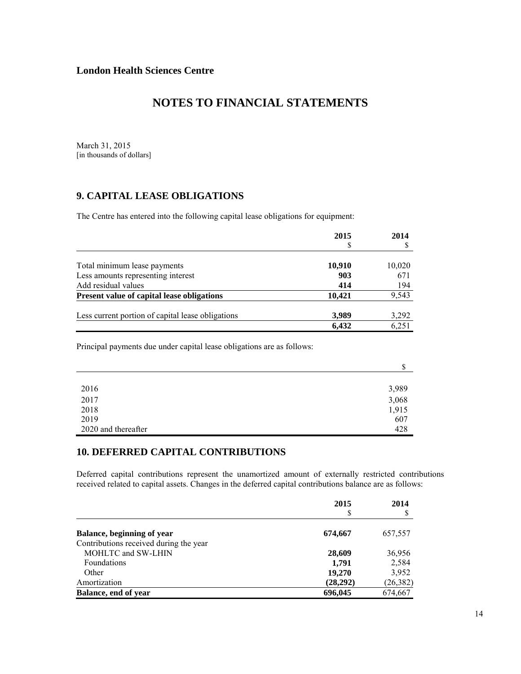### **NOTES TO FINANCIAL STATEMENTS**

March 31, 2015 [in thousands of dollars]

### **9. CAPITAL LEASE OBLIGATIONS**

The Centre has entered into the following capital lease obligations for equipment:

|                                                   | 2015   | 2014   |
|---------------------------------------------------|--------|--------|
|                                                   |        |        |
| Total minimum lease payments                      | 10,910 | 10,020 |
| Less amounts representing interest                | 903    | 671    |
| Add residual values                               | 414    | 194    |
| <b>Present value of capital lease obligations</b> | 10,421 | 9,543  |
| Less current portion of capital lease obligations | 3,989  | 3,292  |
|                                                   | 6,432  | 6,251  |

Principal payments due under capital lease obligations are as follows:

|                     | Φ<br>Φ |
|---------------------|--------|
|                     |        |
| 2016                | 3,989  |
| 2017                | 3,068  |
| 2018                | 1,915  |
| 2019                | 607    |
| 2020 and thereafter | 428    |

### **10. DEFERRED CAPITAL CONTRIBUTIONS**

Deferred capital contributions represent the unamortized amount of externally restricted contributions received related to capital assets. Changes in the deferred capital contributions balance are as follows:

|                                        | 2015      | 2014      |
|----------------------------------------|-----------|-----------|
|                                        | S         |           |
| Balance, beginning of year             | 674,667   | 657,557   |
| Contributions received during the year |           |           |
| MOHLTC and SW-LHIN                     | 28,609    | 36,956    |
| Foundations                            | 1,791     | 2,584     |
| Other                                  | 19,270    | 3,952     |
| Amortization                           | (28, 292) | (26, 382) |
| Balance, end of year                   | 696,045   | 674,667   |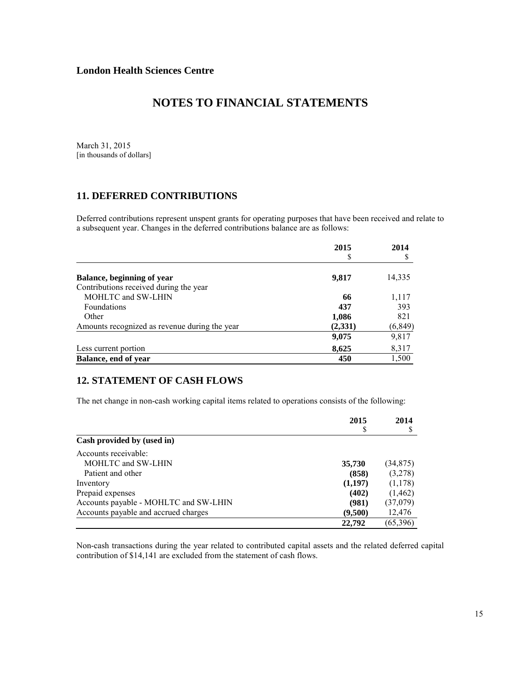March 31, 2015 [in thousands of dollars]

### **11. DEFERRED CONTRIBUTIONS**

Deferred contributions represent unspent grants for operating purposes that have been received and relate to a subsequent year. Changes in the deferred contributions balance are as follows:

|                                               | 2015    | 2014     |
|-----------------------------------------------|---------|----------|
|                                               | \$      |          |
| Balance, beginning of year                    | 9,817   | 14,335   |
| Contributions received during the year        |         |          |
| MOHLTC and SW-LHIN                            | 66      | 1,117    |
| <b>Foundations</b>                            | 437     | 393      |
| Other                                         | 1,086   | 821      |
| Amounts recognized as revenue during the year | (2,331) | (6, 849) |
|                                               | 9,075   | 9,817    |
| Less current portion                          | 8,625   | 8,317    |
| Balance, end of year                          | 450     | 1,500    |

### **12. STATEMENT OF CASH FLOWS**

The net change in non-cash working capital items related to operations consists of the following:

|                                       | 2015    | 2014      |
|---------------------------------------|---------|-----------|
| Cash provided by (used in)            |         |           |
| Accounts receivable:                  |         |           |
| MOHLTC and SW-LHIN                    | 35,730  | (34, 875) |
| Patient and other                     | (858)   | (3,278)   |
| Inventory                             | (1,197) | (1,178)   |
| Prepaid expenses                      | (402)   | (1, 462)  |
| Accounts payable - MOHLTC and SW-LHIN | (981)   | (37,079)  |
| Accounts payable and accrued charges  | (9,500) | 12,476    |
|                                       | 22,792  | (65,396)  |

Non-cash transactions during the year related to contributed capital assets and the related deferred capital contribution of \$14,141 are excluded from the statement of cash flows.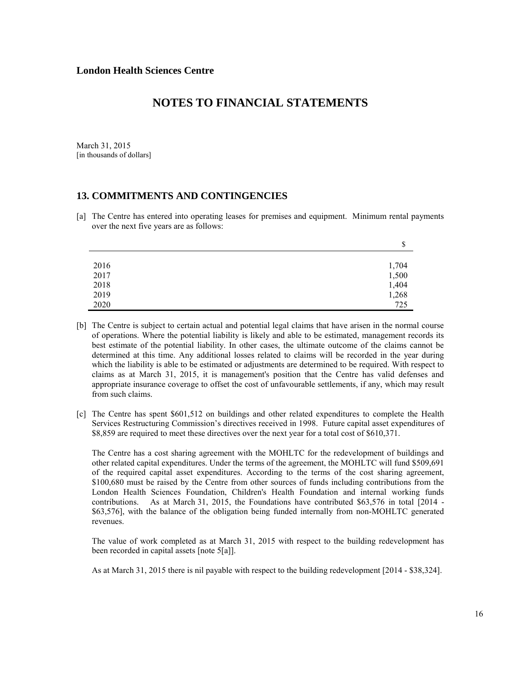March 31, 2015 [in thousands of dollars]

### **13. COMMITMENTS AND CONTINGENCIES**

[a] The Centre has entered into operating leases for premises and equipment. Minimum rental payments over the next five years are as follows:

|      | Φ<br>Φ                                  |
|------|-----------------------------------------|
|      |                                         |
| 2016 |                                         |
| 2017 |                                         |
| 2018 |                                         |
| 2019 |                                         |
| 2020 | 1,704<br>1,500<br>1,404<br>1,268<br>725 |

- [b] The Centre is subject to certain actual and potential legal claims that have arisen in the normal course of operations. Where the potential liability is likely and able to be estimated, management records its best estimate of the potential liability. In other cases, the ultimate outcome of the claims cannot be determined at this time. Any additional losses related to claims will be recorded in the year during which the liability is able to be estimated or adjustments are determined to be required. With respect to claims as at March 31, 2015, it is management's position that the Centre has valid defenses and appropriate insurance coverage to offset the cost of unfavourable settlements, if any, which may result from such claims.
- [c] The Centre has spent \$601,512 on buildings and other related expenditures to complete the Health Services Restructuring Commission's directives received in 1998. Future capital asset expenditures of \$8,859 are required to meet these directives over the next year for a total cost of \$610,371.

The Centre has a cost sharing agreement with the MOHLTC for the redevelopment of buildings and other related capital expenditures. Under the terms of the agreement, the MOHLTC will fund \$509,691 of the required capital asset expenditures. According to the terms of the cost sharing agreement, \$100,680 must be raised by the Centre from other sources of funds including contributions from the London Health Sciences Foundation, Children's Health Foundation and internal working funds contributions. As at March 31, 2015, the Foundations have contributed \$63,576 in total [2014 - \$63,576], with the balance of the obligation being funded internally from non-MOHLTC generated revenues.

The value of work completed as at March 31, 2015 with respect to the building redevelopment has been recorded in capital assets [note 5[a]].

As at March 31, 2015 there is nil payable with respect to the building redevelopment [2014 - \$38,324].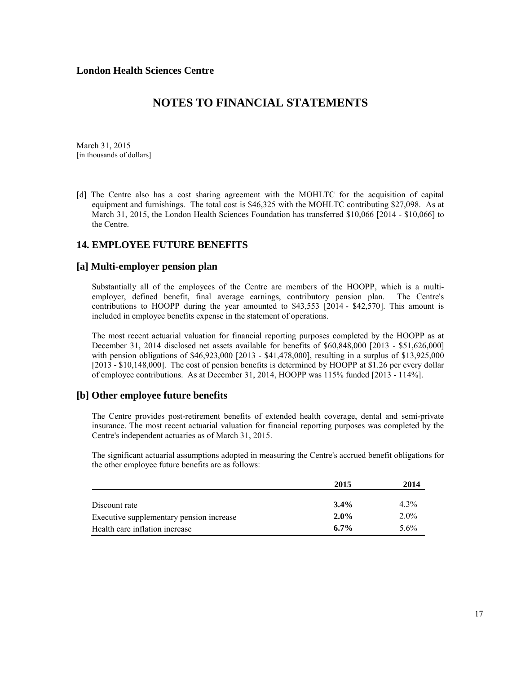March 31, 2015 [in thousands of dollars]

[d] The Centre also has a cost sharing agreement with the MOHLTC for the acquisition of capital equipment and furnishings. The total cost is \$46,325 with the MOHLTC contributing \$27,098. As at March 31, 2015, the London Health Sciences Foundation has transferred \$10,066 [2014 - \$10,066] to the Centre.

### **14. EMPLOYEE FUTURE BENEFITS**

### **[a] Multi-employer pension plan**

Substantially all of the employees of the Centre are members of the HOOPP, which is a multiemployer, defined benefit, final average earnings, contributory pension plan. The Centre's contributions to HOOPP during the year amounted to \$43,553 [2014 - \$42,570]. This amount is included in employee benefits expense in the statement of operations.

The most recent actuarial valuation for financial reporting purposes completed by the HOOPP as at December 31, 2014 disclosed net assets available for benefits of \$60,848,000 [2013 - \$51,626,000] with pension obligations of \$46,923,000 [2013 - \$41,478,000], resulting in a surplus of \$13,925,000 [2013 - \$10,148,000]. The cost of pension benefits is determined by HOOPP at \$1.26 per every dollar of employee contributions. As at December 31, 2014, HOOPP was 115% funded [2013 - 114%].

#### **[b] Other employee future benefits**

The Centre provides post-retirement benefits of extended health coverage, dental and semi-private insurance. The most recent actuarial valuation for financial reporting purposes was completed by the Centre's independent actuaries as of March 31, 2015.

The significant actuarial assumptions adopted in measuring the Centre's accrued benefit obligations for the other employee future benefits are as follows:

|                                          | 2015    | 2014    |
|------------------------------------------|---------|---------|
| Discount rate                            | $3.4\%$ | $4.3\%$ |
| Executive supplementary pension increase | $2.0\%$ | $2.0\%$ |
| Health care inflation increase           | $6.7\%$ | $5.6\%$ |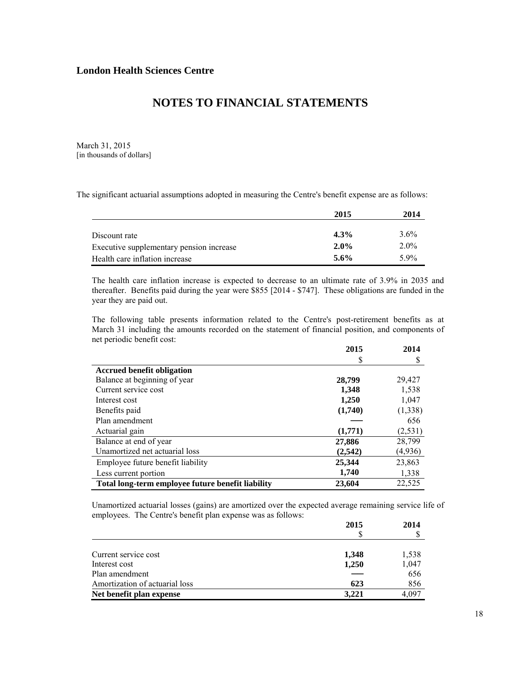March 31, 2015 [in thousands of dollars]

The significant actuarial assumptions adopted in measuring the Centre's benefit expense are as follows:

|                                          | 2015    | 2014    |
|------------------------------------------|---------|---------|
|                                          |         |         |
| Discount rate                            | 4.3%    | $3.6\%$ |
| Executive supplementary pension increase | $2.0\%$ | $2.0\%$ |
| Health care inflation increase           | 5.6%    | 59%     |

The health care inflation increase is expected to decrease to an ultimate rate of 3.9% in 2035 and thereafter. Benefits paid during the year were \$855 [2014 - \$747]. These obligations are funded in the year they are paid out.

The following table presents information related to the Centre's post-retirement benefits as at March 31 including the amounts recorded on the statement of financial position, and components of net periodic benefit cost:

|                                                   | 2015    | 2014     |
|---------------------------------------------------|---------|----------|
|                                                   | S       |          |
| <b>Accrued benefit obligation</b>                 |         |          |
| Balance at beginning of year                      | 28,799  | 29,427   |
| Current service cost                              | 1,348   | 1,538    |
| Interest cost                                     | 1,250   | 1,047    |
| Benefits paid                                     | (1,740) | (1,338)  |
| Plan amendment                                    |         | 656      |
| Actuarial gain                                    | (1,771) | (2, 531) |
| Balance at end of year                            | 27,886  | 28,799   |
| Unamortized net actuarial loss                    | (2,542) | (4,936)  |
| Employee future benefit liability                 | 25,344  | 23,863   |
| Less current portion                              | 1,740   | 1,338    |
| Total long-term employee future benefit liability | 23,604  | 22,525   |

Unamortized actuarial losses (gains) are amortized over the expected average remaining service life of employees. The Centre's benefit plan expense was as follows:

|                                | 2015  | 2014  |
|--------------------------------|-------|-------|
|                                |       |       |
| Current service cost           | 1,348 | 1,538 |
| Interest cost                  | 1,250 | 1,047 |
| Plan amendment                 |       | 656   |
| Amortization of actuarial loss | 623   | 856   |
| Net benefit plan expense       | 3,221 | 4,097 |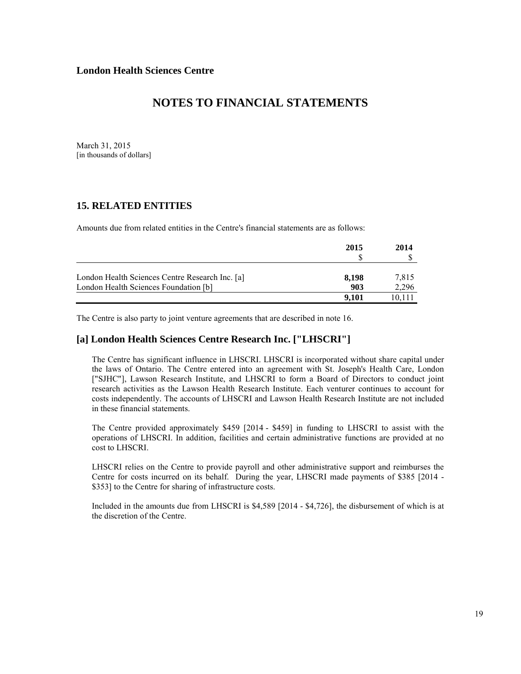March 31, 2015 [in thousands of dollars]

### **15. RELATED ENTITIES**

Amounts due from related entities in the Centre's financial statements are as follows:

|                                                 | 2015  | 2014   |
|-------------------------------------------------|-------|--------|
| London Health Sciences Centre Research Inc. [a] | 8,198 | 7.815  |
| London Health Sciences Foundation [b]           | 903   | 2,296  |
|                                                 | 9.101 | 10.111 |

The Centre is also party to joint venture agreements that are described in note 16.

### **[a] London Health Sciences Centre Research Inc. ["LHSCRI"]**

The Centre has significant influence in LHSCRI. LHSCRI is incorporated without share capital under the laws of Ontario. The Centre entered into an agreement with St. Joseph's Health Care, London ["SJHC"], Lawson Research Institute, and LHSCRI to form a Board of Directors to conduct joint research activities as the Lawson Health Research Institute. Each venturer continues to account for costs independently. The accounts of LHSCRI and Lawson Health Research Institute are not included in these financial statements.

The Centre provided approximately \$459 [2014 - \$459] in funding to LHSCRI to assist with the operations of LHSCRI. In addition, facilities and certain administrative functions are provided at no cost to LHSCRI.

LHSCRI relies on the Centre to provide payroll and other administrative support and reimburses the Centre for costs incurred on its behalf. During the year, LHSCRI made payments of \$385 [2014 - \$353] to the Centre for sharing of infrastructure costs.

Included in the amounts due from LHSCRI is \$4,589 [2014 - \$4,726], the disbursement of which is at the discretion of the Centre.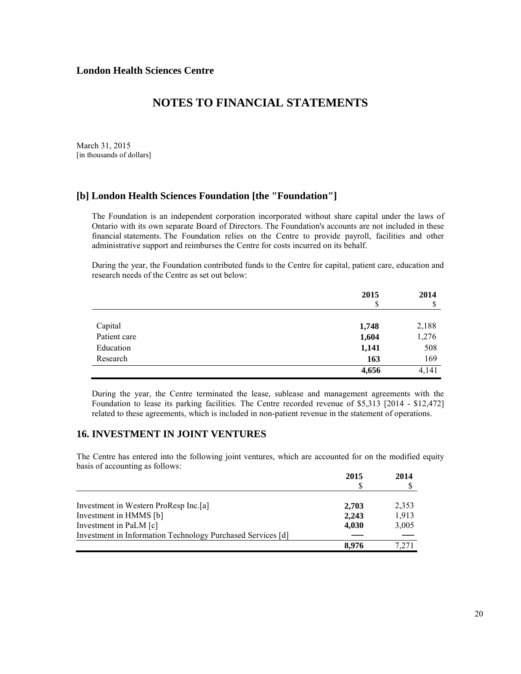March 31, 2015 [in thousands of dollars]

### **[b] London Health Sciences Foundation [the "Foundation"]**

The Foundation is an independent corporation incorporated without share capital under the laws of Ontario with its own separate Board of Directors. The Foundation's accounts are not included in these financial statements. The Foundation relies on the Centre to provide payroll, facilities and other administrative support and reimburses the Centre for costs incurred on its behalf.

During the year, the Foundation contributed funds to the Centre for capital, patient care, education and research needs of the Centre as set out below:

|              | 2015  | 2014  |
|--------------|-------|-------|
|              | S     | \$    |
| Capital      | 1,748 | 2,188 |
| Patient care | 1,604 | 1,276 |
| Education    | 1,141 | 508   |
| Research     | 163   | 169   |
|              | 4,656 | 4,141 |

During the year, the Centre terminated the lease, sublease and management agreements with the Foundation to lease its parking facilities. The Centre recorded revenue of \$5,313 [2014 - \$12,472] related to these agreements, which is included in non-patient revenue in the statement of operations.

### **16. INVESTMENT IN JOINT VENTURES**

The Centre has entered into the following joint ventures, which are accounted for on the modified equity basis of accounting as follows:

|                                                             | 2015  | 2014  |
|-------------------------------------------------------------|-------|-------|
|                                                             |       |       |
| Investment in Western ProResp Inc.[a]                       | 2,703 | 2,353 |
| Investment in HMMS [b]                                      | 2.243 | 1,913 |
| Investment in PaLM [c]                                      | 4,030 | 3,005 |
| Investment in Information Technology Purchased Services [d] |       |       |
|                                                             | 8.976 | 7.271 |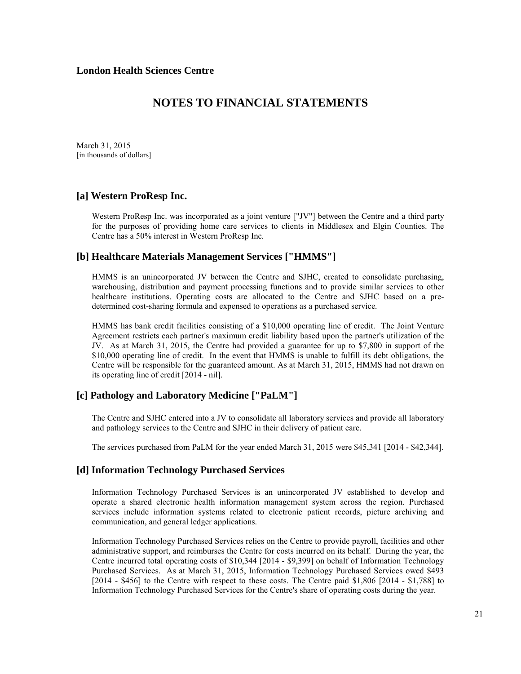March 31, 2015 [in thousands of dollars]

### **[a] Western ProResp Inc.**

Western ProResp Inc. was incorporated as a joint venture ["JV"] between the Centre and a third party for the purposes of providing home care services to clients in Middlesex and Elgin Counties. The Centre has a 50% interest in Western ProResp Inc*.*

### **[b] Healthcare Materials Management Services ["HMMS"]**

HMMS is an unincorporated JV between the Centre and SJHC, created to consolidate purchasing, warehousing, distribution and payment processing functions and to provide similar services to other healthcare institutions. Operating costs are allocated to the Centre and SJHC based on a predetermined cost-sharing formula and expensed to operations as a purchased service*.*

HMMS has bank credit facilities consisting of a \$10,000 operating line of credit. The Joint Venture Agreement restricts each partner's maximum credit liability based upon the partner's utilization of the JV. As at March 31, 2015, the Centre had provided a guarantee for up to \$7,800 in support of the \$10,000 operating line of credit. In the event that HMMS is unable to fulfill its debt obligations, the Centre will be responsible for the guaranteed amount. As at March 31, 2015, HMMS had not drawn on its operating line of credit [2014 - nil].

### **[c] Pathology and Laboratory Medicine ["PaLM"]**

The Centre and SJHC entered into a JV to consolidate all laboratory services and provide all laboratory and pathology services to the Centre and SJHC in their delivery of patient care*.* 

The services purchased from PaLM for the year ended March 31, 2015 were \$45,341 [2014 - \$42,344].

### **[d] Information Technology Purchased Services**

Information Technology Purchased Services is an unincorporated JV established to develop and operate a shared electronic health information management system across the region. Purchased services include information systems related to electronic patient records, picture archiving and communication, and general ledger applications.

Information Technology Purchased Services relies on the Centre to provide payroll, facilities and other administrative support, and reimburses the Centre for costs incurred on its behalf. During the year, the Centre incurred total operating costs of \$10,344 [2014 - \$9,399] on behalf of Information Technology Purchased Services. As at March 31, 2015, Information Technology Purchased Services owed \$493 [2014 - \$456] to the Centre with respect to these costs. The Centre paid \$1,806 [2014 - \$1,788] to Information Technology Purchased Services for the Centre's share of operating costs during the year.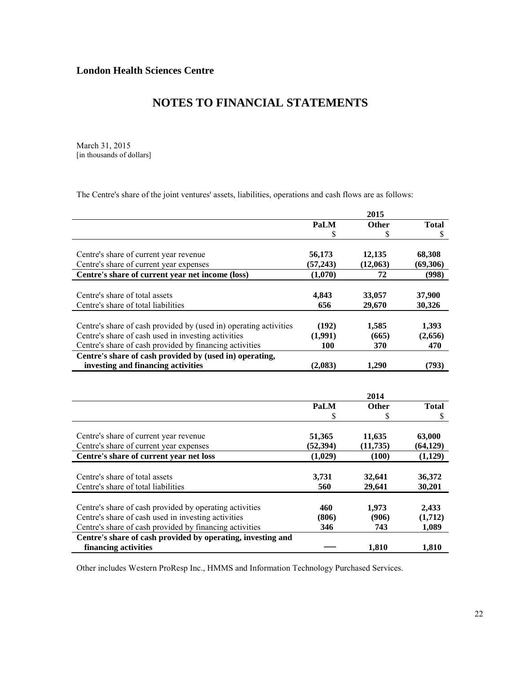March 31, 2015 [in thousands of dollars]

The Centre's share of the joint ventures' assets, liabilities, operations and cash flows are as follows:

|                                                                   | 2015        |              |              |
|-------------------------------------------------------------------|-------------|--------------|--------------|
|                                                                   | <b>PaLM</b> | Other        | <b>Total</b> |
|                                                                   | \$          | \$           | \$           |
|                                                                   |             |              |              |
| Centre's share of current year revenue                            | 56,173      | 12,135       | 68,308       |
| Centre's share of current year expenses                           | (57, 243)   | (12,063)     | (69, 306)    |
| Centre's share of current year net income (loss)                  | (1,070)     | 72           | (998)        |
|                                                                   |             |              |              |
| Centre's share of total assets                                    | 4,843       | 33,057       | 37,900       |
| Centre's share of total liabilities                               | 656         | 29,670       | 30,326       |
|                                                                   |             |              |              |
| Centre's share of cash provided by (used in) operating activities | (192)       | 1,585        | 1,393        |
| Centre's share of cash used in investing activities               | (1,991)     | (665)        | (2,656)      |
| Centre's share of cash provided by financing activities           | 100         | 370          | 470          |
| Centre's share of cash provided by (used in) operating,           |             |              |              |
| investing and financing activities                                | (2,083)     | 1,290        | (793)        |
|                                                                   |             |              |              |
|                                                                   |             | 2014         |              |
|                                                                   | <b>PaLM</b> | <b>Other</b> | <b>Total</b> |
|                                                                   |             | \$           | \$           |
|                                                                   |             |              |              |
| Centre's share of current year revenue                            | 51,365      | 11,635       | 63,000       |
| Centre's share of current year expenses                           | (52, 394)   | (11, 735)    | (64, 129)    |
| Centre's share of current year net loss                           | (1,029)     | (100)        | (1,129)      |
|                                                                   |             |              |              |
| Centre's share of total assets                                    | 3,731       | 32,641       | 36,372       |
| Centre's share of total liabilities                               | 560         | 29,641       | 30,201       |
|                                                                   |             |              |              |
| Centre's share of cash provided by operating activities           | 460         | 1,973        | 2,433        |
| Centre's share of cash used in investing activities               | (806)       | (906)        | (1,712)      |
| Centre's share of cash provided by financing activities           |             |              |              |
|                                                                   | 346         | 743          | 1,089        |
| Centre's share of cash provided by operating, investing and       |             |              |              |

Other includes Western ProResp Inc., HMMS and Information Technology Purchased Services.